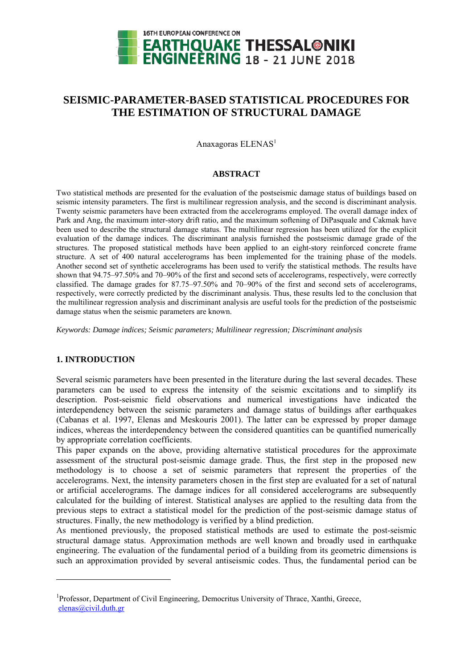

# **SEISMIC-PARAMETER-BASED STATISTICAL PROCEDURES FOR THE ESTIMATION OF STRUCTURAL DAMAGE**

Anaxagoras  $ELENAS<sup>1</sup>$ 

#### **ABSTRACT**

Two statistical methods are presented for the evaluation of the postseismic damage status of buildings based on seismic intensity parameters. The first is multilinear regression analysis, and the second is discriminant analysis. Twenty seismic parameters have been extracted from the accelerograms employed. The overall damage index of Park and Ang, the maximum inter-story drift ratio, and the maximum softening of DiPasquale and Cakmak have been used to describe the structural damage status. The multilinear regression has been utilized for the explicit evaluation of the damage indices. The discriminant analysis furnished the postseismic damage grade of the structures. The proposed statistical methods have been applied to an eight-story reinforced concrete frame structure. A set of 400 natural accelerograms has been implemented for the training phase of the models. Another second set of synthetic accelerograms has been used to verify the statistical methods. The results have shown that 94.75–97.50% and 70–90% of the first and second sets of accelerograms, respectively, were correctly classified. The damage grades for 87.75–97.50% and 70–90% of the first and second sets of accelerograms, respectively, were correctly predicted by the discriminant analysis. Thus, these results led to the conclusion that the multilinear regression analysis and discriminant analysis are useful tools for the prediction of the postseismic damage status when the seismic parameters are known.

*Keywords: Damage indices; Seismic parameters; Multilinear regression; Discriminant analysis* 

# **1. INTRODUCTION**

1

Several seismic parameters have been presented in the literature during the last several decades. These parameters can be used to express the intensity of the seismic excitations and to simplify its description. Post-seismic field observations and numerical investigations have indicated the interdependency between the seismic parameters and damage status of buildings after earthquakes (Cabanas et al. 1997, Elenas and Meskouris 2001). The latter can be expressed by proper damage indices, whereas the interdependency between the considered quantities can be quantified numerically by appropriate correlation coefficients.

This paper expands on the above, providing alternative statistical procedures for the approximate assessment of the structural post-seismic damage grade. Thus, the first step in the proposed new methodology is to choose a set of seismic parameters that represent the properties of the accelerograms. Next, the intensity parameters chosen in the first step are evaluated for a set of natural or artificial accelerograms. The damage indices for all considered accelerograms are subsequently calculated for the building of interest. Statistical analyses are applied to the resulting data from the previous steps to extract a statistical model for the prediction of the post-seismic damage status of structures. Finally, the new methodology is verified by a blind prediction.

As mentioned previously, the proposed statistical methods are used to estimate the post-seismic structural damage status. Approximation methods are well known and broadly used in earthquake engineering. The evaluation of the fundamental period of a building from its geometric dimensions is such an approximation provided by several antiseismic codes. Thus, the fundamental period can be

<sup>&</sup>lt;sup>1</sup>Professor, Department of Civil Engineering, Democritus University of Thrace, Xanthi, Greece, elenas@civil.duth.gr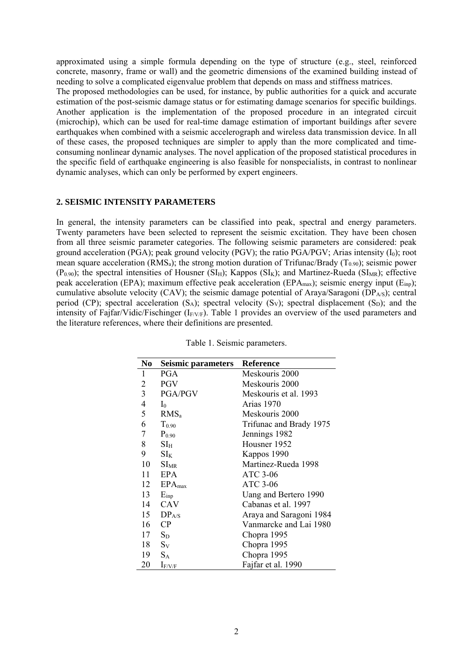approximated using a simple formula depending on the type of structure (e.g., steel, reinforced concrete, masonry, frame or wall) and the geometric dimensions of the examined building instead of needing to solve a complicated eigenvalue problem that depends on mass and stiffness matrices. The proposed methodologies can be used, for instance, by public authorities for a quick and accurate estimation of the post-seismic damage status or for estimating damage scenarios for specific buildings. Another application is the implementation of the proposed procedure in an integrated circuit (microchip), which can be used for real-time damage estimation of important buildings after severe earthquakes when combined with a seismic accelerograph and wireless data transmission device. In all of these cases, the proposed techniques are simpler to apply than the more complicated and timeconsuming nonlinear dynamic analyses. The novel application of the proposed statistical procedures in the specific field of earthquake engineering is also feasible for nonspecialists, in contrast to nonlinear dynamic analyses, which can only be performed by expert engineers.

#### **2. SEISMIC INTENSITY PARAMETERS**

In general, the intensity parameters can be classified into peak, spectral and energy parameters. Twenty parameters have been selected to represent the seismic excitation. They have been chosen from all three seismic parameter categories. The following seismic parameters are considered: peak ground acceleration (PGA); peak ground velocity (PGV); the ratio PGA/PGV; Arias intensity  $(I_0)$ ; root mean square acceleration ( $RMS<sub>a</sub>$ ); the strong motion duration of Trifunac/Brady ( $T<sub>0.90</sub>$ ); seismic power (P<sub>0.90</sub>); the spectral intensities of Housner (SI<sub>H</sub>); Kappos (SI<sub>K</sub>); and Martinez-Rueda (SI<sub>MR</sub>); effective peak acceleration (EPA); maximum effective peak acceleration (EPAmax); seismic energy input (Einp); cumulative absolute velocity (CAV); the seismic damage potential of Araya/Saragoni ( $\overline{DP}_{AS}$ ); central period (CP); spectral acceleration  $(S_A)$ ; spectral velocity  $(S_V)$ ; spectral displacement  $(S_D)$ ; and the intensity of Fajfar/Vidic/Fischinger ( $I_{F/V/F}$ ). Table 1 provides an overview of the used parameters and the literature references, where their definitions are presented.

| No              | Seismic parameters | <b>Reference</b>        |
|-----------------|--------------------|-------------------------|
| 1               | <b>PGA</b>         | Meskouris 2000          |
| 2               | <b>PGV</b>         | Meskouris 2000          |
| $\overline{3}$  | <b>PGA/PGV</b>     | Meskouris et al. 1993   |
| $\overline{4}$  | $I_0$              | Arias 1970              |
| 5               | RMS <sub>a</sub>   | Meskouris 2000          |
| 6               | $T_{0.90}$         | Trifunac and Brady 1975 |
| $7\overline{ }$ | $P_{0.90}$         | Jennings 1982           |
| 8               | $SI_{H}$           | Housner 1952            |
| 9               | $SI_{K}$           | Kappos 1990             |
| 10              | $SI_{MR}$          | Martinez-Rueda 1998     |
| 11              | <b>EPA</b>         | ATC 3-06                |
| 12              | $EPA_{max}$        | ATC 3-06                |
| 13              | $E_{\text{inp}}$   | Uang and Bertero 1990   |
| 14              | CAV                | Cabanas et al. 1997     |
| 15              | DP <sub>A/S</sub>  | Araya and Saragoni 1984 |
| 16              | $\rm CP$           | Vanmarcke and Lai 1980  |
| 17              | $S_D$              | Chopra 1995             |
| 18              | $S_V$              | Chopra 1995             |
| 19              | $S_A$              | Chopra 1995             |
| 20              | $I_{F/V/F}$        | Fajfar et al. 1990      |

Table 1. Seismic parameters.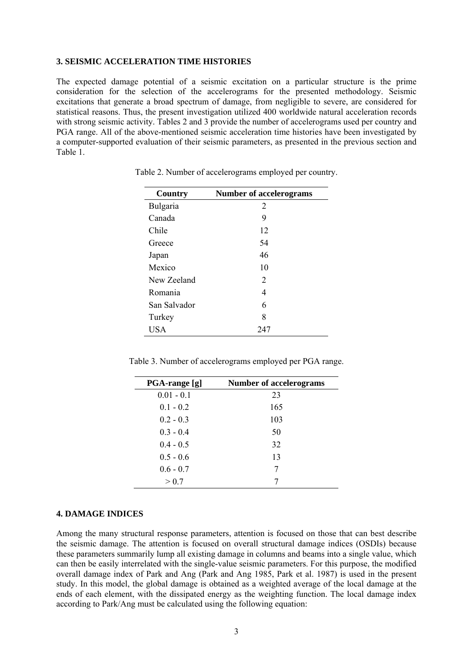# **3. SEISMIC ACCELERATION TIME HISTORIES**

The expected damage potential of a seismic excitation on a particular structure is the prime consideration for the selection of the accelerograms for the presented methodology. Seismic excitations that generate a broad spectrum of damage, from negligible to severe, are considered for statistical reasons. Thus, the present investigation utilized 400 worldwide natural acceleration records with strong seismic activity. Tables 2 and 3 provide the number of accelerograms used per country and PGA range. All of the above-mentioned seismic acceleration time histories have been investigated by a computer-supported evaluation of their seismic parameters, as presented in the previous section and Table 1.

| Country      | <b>Number of accelerograms</b> |
|--------------|--------------------------------|
| Bulgaria     | 2                              |
| Canada       | 9                              |
| Chile        | 12                             |
| Greece       | 54                             |
| Japan        | 46                             |
| Mexico       | 10                             |
| New Zeeland  | 2                              |
| Romania      | 4                              |
| San Salvador | 6                              |
| Turkey       | 8                              |
| <b>USA</b>   | 247                            |

Table 2. Number of accelerograms employed per country.

Table 3. Number of accelerograms employed per PGA range.

| PGA-range [g] | <b>Number of accelerograms</b> |
|---------------|--------------------------------|
| $0.01 - 0.1$  | 23                             |
| $0.1 - 0.2$   | 165                            |
| $0.2 - 0.3$   | 103                            |
| $0.3 - 0.4$   | 50                             |
| $0.4 - 0.5$   | 32                             |
| $0.5 - 0.6$   | 13                             |
| $0.6 - 0.7$   | 7                              |
| > 0.7         | 7                              |

#### **4. DAMAGE INDICES**

Among the many structural response parameters, attention is focused on those that can best describe the seismic damage. The attention is focused on overall structural damage indices (OSDIs) because these parameters summarily lump all existing damage in columns and beams into a single value, which can then be easily interrelated with the single-value seismic parameters. For this purpose, the modified overall damage index of Park and Ang (Park and Ang 1985, Park et al. 1987) is used in the present study. In this model, the global damage is obtained as a weighted average of the local damage at the ends of each element, with the dissipated energy as the weighting function. The local damage index according to Park/Ang must be calculated using the following equation: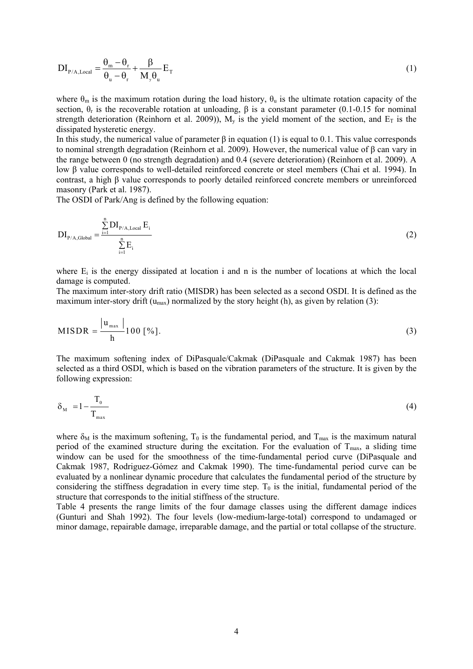$$
DI_{P/A, Local} = \frac{\theta_m - \theta_r}{\theta_u - \theta_r} + \frac{\beta}{M_y \theta_u} E_T
$$
 (1)

where  $\theta_m$  is the maximum rotation during the load history,  $\theta_u$  is the ultimate rotation capacity of the section,  $θ$ <sub>r</sub> is the recoverable rotation at unloading,  $β$  is a constant parameter (0.1-0.15 for nominal strength deterioration (Reinhorn et al. 2009)),  $M_v$  is the yield moment of the section, and  $E_T$  is the dissipated hysteretic energy.

In this study, the numerical value of parameter β in equation (1) is equal to 0.1. This value corresponds to nominal strength degradation (Reinhorn et al. 2009). However, the numerical value of β can vary in the range between 0 (no strength degradation) and 0.4 (severe deterioration) (Reinhorn et al. 2009). A low β value corresponds to well-detailed reinforced concrete or steel members (Chai et al. 1994). In contrast, a high β value corresponds to poorly detailed reinforced concrete members or unreinforced masonry (Park et al. 1987).

The OSDI of Park/Ang is defined by the following equation:

$$
DI_{P/A,Global} = \frac{\sum_{i=1}^{n} DI_{P/A,Local} E_i}{\sum_{i=1}^{n} E_i}
$$
 (2)

where  $E_i$  is the energy dissipated at location i and n is the number of locations at which the local damage is computed.

The maximum inter-story drift ratio (MISDR) has been selected as a second OSDI. It is defined as the maximum inter-story drift ( $u_{max}$ ) normalized by the story height (h), as given by relation (3):

$$
MISDR = \frac{|u_{max}|}{h} 100 [%].
$$
 (3)

The maximum softening index of DiPasquale/Cakmak (DiPasquale and Cakmak 1987) has been selected as a third OSDI, which is based on the vibration parameters of the structure. It is given by the following expression:

$$
\delta_{\rm M} = 1 - \frac{T_0}{T_{\rm max}} \tag{4}
$$

where  $\delta_M$  is the maximum softening,  $T_0$  is the fundamental period, and  $T_{\text{max}}$  is the maximum natural period of the examined structure during the excitation. For the evaluation of  $T_{\text{max}}$ , a sliding time window can be used for the smoothness of the time-fundamental period curve (DiPasquale and Cakmak 1987, Rodriguez-Gómez and Cakmak 1990). The time-fundamental period curve can be evaluated by a nonlinear dynamic procedure that calculates the fundamental period of the structure by considering the stiffness degradation in every time step.  $T_0$  is the initial, fundamental period of the structure that corresponds to the initial stiffness of the structure.

Table 4 presents the range limits of the four damage classes using the different damage indices (Gunturi and Shah 1992). The four levels (low-medium-large-total) correspond to undamaged or minor damage, repairable damage, irreparable damage, and the partial or total collapse of the structure.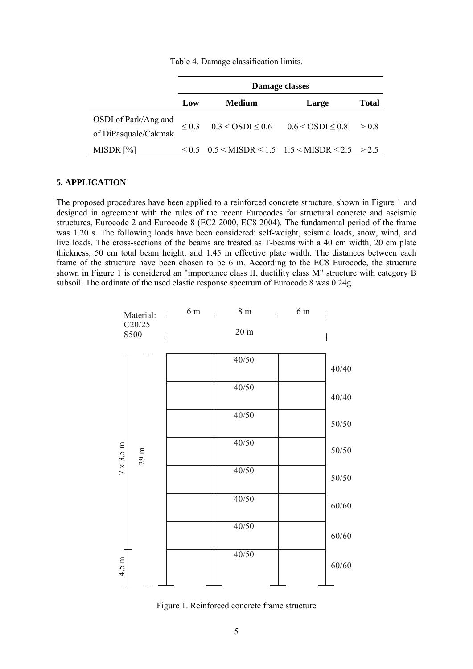|                                              | Damage classes |                                                                                |       |              |
|----------------------------------------------|----------------|--------------------------------------------------------------------------------|-------|--------------|
|                                              | Low            | <b>Medium</b>                                                                  | Large | <b>Total</b> |
| OSDI of Park/Ang and<br>of DiPasquale/Cakmak |                | $\leq$ 0.3 $\leq$ 0.3 $\leq$ OSDI $\leq$ 0.6 $\leq$ 0.6 $\leq$ OSDI $\leq$ 0.8 |       | > 0.8        |
| MISDR [%]                                    |                | $\leq$ 0.5 $\leq$ MISDR $\leq$ 1.5 $\leq$ MISDR $\leq$ 2.5 $\geq$ 2.5          |       |              |

# **5. APPLICATION**

The proposed procedures have been applied to a reinforced concrete structure, shown in Figure 1 and designed in agreement with the rules of the recent Eurocodes for structural concrete and aseismic structures, Eurocode 2 and Eurocode 8 (EC2 2000, EC8 2004). The fundamental period of the frame was 1.20 s. The following loads have been considered: self-weight, seismic loads, snow, wind, and live loads. The cross-sections of the beams are treated as T-beams with a 40 cm width, 20 cm plate thickness, 50 cm total beam height, and 1.45 m effective plate width. The distances between each frame of the structure have been chosen to be 6 m. According to the EC8 Eurocode, the structure shown in Figure 1 is considered an "importance class II, ductility class M" structure with category B subsoil. The ordinate of the used elastic response spectrum of Eurocode 8 was 0.24g.



Figure 1. Reinforced concrete frame structure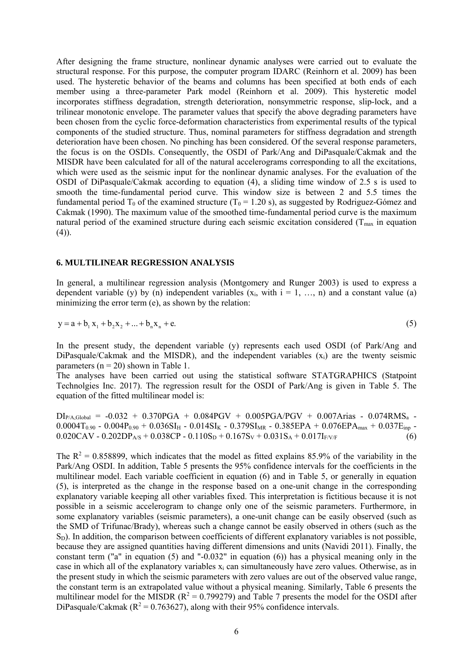After designing the frame structure, nonlinear dynamic analyses were carried out to evaluate the structural response. For this purpose, the computer program IDARC (Reinhorn et al. 2009) has been used. The hysteretic behavior of the beams and columns has been specified at both ends of each member using a three-parameter Park model (Reinhorn et al. 2009). This hysteretic model incorporates stiffness degradation, strength deterioration, nonsymmetric response, slip-lock, and a trilinear monotonic envelope. The parameter values that specify the above degrading parameters have been chosen from the cyclic force-deformation characteristics from experimental results of the typical components of the studied structure. Thus, nominal parameters for stiffness degradation and strength deterioration have been chosen. No pinching has been considered. Of the several response parameters, the focus is on the OSDIs. Consequently, the OSDI of Park/Ang and DiPasquale/Cakmak and the MISDR have been calculated for all of the natural accelerograms corresponding to all the excitations, which were used as the seismic input for the nonlinear dynamic analyses. For the evaluation of the OSDI of DiPasquale/Cakmak according to equation (4), a sliding time window of 2.5 s is used to smooth the time-fundamental period curve. This window size is between 2 and 5.5 times the fundamental period T<sub>0</sub> of the examined structure (T<sub>0</sub> = 1.20 s), as suggested by Rodriguez-Gómez and Cakmak (1990). The maximum value of the smoothed time-fundamental period curve is the maximum natural period of the examined structure during each seismic excitation considered ( $T_{\text{max}}$  in equation  $(4)$ ).

#### **6. MULTILINEAR REGRESSION ANALYSIS**

In general, a multilinear regression analysis (Montgomery and Runger 2003) is used to express a dependent variable (y) by (n) independent variables  $(x_i, with i = 1, ..., n)$  and a constant value (a) minimizing the error term (e), as shown by the relation:

$$
y = a + b_1 x_1 + b_2 x_2 + ... + b_n x_n + e.
$$
 (5)

In the present study, the dependent variable (y) represents each used OSDI (of Park/Ang and DiPasquale/Cakmak and the MISDR), and the independent variables  $(x_i)$  are the twenty seismic parameters ( $n = 20$ ) shown in Table 1.

The analyses have been carried out using the statistical software STATGRAPHICS (Statpoint Technolgies Inc. 2017). The regression result for the OSDI of Park/Ang is given in Table 5. The equation of the fitted multilinear model is:

 $DI<sub>P/A,Global</sub> = -0.032 + 0.370PGA + 0.084PGV + 0.005PGA/PGV + 0.007Arias - 0.074RMS<sub>a</sub> 0.0004T_{0.90}$  -  $0.004P_{0.90}$  +  $0.036S$ I<sub>H</sub> -  $0.014S$ I<sub>K</sub> -  $0.379S$ I<sub>MR</sub> -  $0.385EPA + 0.076EPA_{max} + 0.037E_{imp}$  - $0.020CAV - 0.202DP<sub>AS</sub> + 0.038CP - 0.110S<sub>D</sub> + 0.167S<sub>V</sub> + 0.031S<sub>A</sub> + 0.017I<sub>F/V/F</sub>$  (6)

The  $R^2 = 0.858899$ , which indicates that the model as fitted explains 85.9% of the variability in the Park/Ang OSDI. In addition, Table 5 presents the 95% confidence intervals for the coefficients in the multilinear model. Each variable coefficient in equation (6) and in Table 5, or generally in equation (5), is interpreted as the change in the response based on a one-unit change in the corresponding explanatory variable keeping all other variables fixed. This interpretation is fictitious because it is not possible in a seismic accelerogram to change only one of the seismic parameters. Furthermore, in some explanatory variables (seismic parameters), a one-unit change can be easily observed (such as the SMD of Trifunac/Brady), whereas such a change cannot be easily observed in others (such as the  $S<sub>D</sub>$ ). In addition, the comparison between coefficients of different explanatory variables is not possible, because they are assigned quantities having different dimensions and units (Navidi 2011). Finally, the constant term ("a" in equation (5) and "-0.032" in equation (6)) has a physical meaning only in the case in which all of the explanatory variables  $x_i$  can simultaneously have zero values. Otherwise, as in the present study in which the seismic parameters with zero values are out of the observed value range, the constant term is an extrapolated value without a physical meaning. Similarly, Table 6 presents the multilinear model for the MISDR ( $R^2 = 0.799279$ ) and Table 7 presents the model for the OSDI after DiPasquale/Cakmak ( $R^2 = 0.763627$ ), along with their 95% confidence intervals.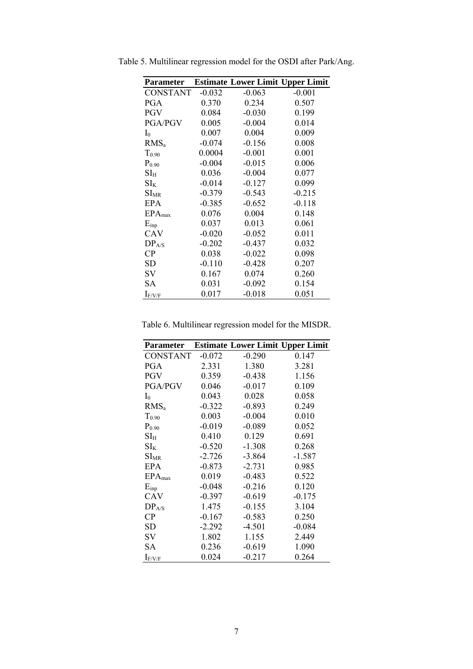| Parameter                |          | <b>Estimate Lower Limit Upper Limit</b> |          |
|--------------------------|----------|-----------------------------------------|----------|
| <b>CONSTANT</b>          | $-0.032$ | $-0.063$                                | $-0.001$ |
| PGA                      | 0.370    | 0.234                                   | 0.507    |
| <b>PGV</b>               | 0.084    | $-0.030$                                | 0.199    |
| <b>PGA/PGV</b>           | 0.005    | $-0.004$                                | 0.014    |
| $I_0$                    | 0.007    | 0.004                                   | 0.009    |
| RMS <sub>a</sub>         | $-0.074$ | $-0.156$                                | 0.008    |
| $T_{0.90}$               | 0.0004   | $-0.001$                                | 0.001    |
| $P_{0.90}$               | $-0.004$ | $-0.015$                                | 0.006    |
| $\mathrm{SI}_\mathrm{H}$ | 0.036    | $-0.004$                                | 0.077    |
| $\mathrm{SI_{K}}$        | $-0.014$ | $-0.127$                                | 0.099    |
| $SI_{MR}$                | $-0.379$ | $-0.543$                                | $-0.215$ |
| EPA                      | $-0.385$ | $-0.652$                                | $-0.118$ |
| $EPA_{max}$              | 0.076    | 0.004                                   | 0.148    |
| $E_{inp}$                | 0.037    | 0.013                                   | 0.061    |
| CAV                      | $-0.020$ | $-0.052$                                | 0.011    |
| DP <sub>A/S</sub>        | $-0.202$ | $-0.437$                                | 0.032    |
| CP                       | 0.038    | $-0.022$                                | 0.098    |
| <b>SD</b>                | $-0.110$ | $-0.428$                                | 0.207    |
| SV                       | 0.167    | 0.074                                   | 0.260    |
| SА                       | 0.031    | $-0.092$                                | 0.154    |
| $\rm I_{F/V/F}$          | 0.017    | $-0.018$                                | 0.051    |

Table 5. Multilinear regression model for the OSDI after Park/Ang.

Table 6. Multilinear regression model for the MISDR.

| Parameter                |          |          | <b>Estimate Lower Limit Upper Limit</b> |
|--------------------------|----------|----------|-----------------------------------------|
| <b>CONSTANT</b>          | $-0.072$ | $-0.290$ | 0.147                                   |
| <b>PGA</b>               | 2.331    | 1.380    | 3.281                                   |
| <b>PGV</b>               | 0.359    | $-0.438$ | 1.156                                   |
| PGA/PGV                  | 0.046    | $-0.017$ | 0.109                                   |
| $I_0$                    | 0.043    | 0.028    | 0.058                                   |
| RMS <sub>a</sub>         | $-0.322$ | $-0.893$ | 0.249                                   |
| $T_{0.90}$               | 0.003    | $-0.004$ | 0.010                                   |
| $P_{0.90}$               | $-0.019$ | $-0.089$ | 0.052                                   |
| $\mathrm{SI}_\mathrm{H}$ | 0.410    | 0.129    | 0.691                                   |
| $SI_{K}$                 | $-0.520$ | $-1.308$ | 0.268                                   |
| $SI_{MR}$                | $-2.726$ | $-3.864$ | $-1.587$                                |
| <b>EPA</b>               | $-0.873$ | $-2.731$ | 0.985                                   |
| $EPA_{max}$              | 0.019    | $-0.483$ | 0.522                                   |
| $E_{inp}$                | $-0.048$ | $-0.216$ | 0.120                                   |
| CAV                      | $-0.397$ | $-0.619$ | $-0.175$                                |
| DP <sub>A/S</sub>        | 1.475    | $-0.155$ | 3.104                                   |
| CP                       | $-0.167$ | $-0.583$ | 0.250                                   |
| <b>SD</b>                | $-2.292$ | $-4.501$ | $-0.084$                                |
| SV                       | 1.802    | 1.155    | 2.449                                   |
| SА                       | 0.236    | $-0.619$ | 1.090                                   |
| $I_{F/V/F}$              | 0.024    | $-0.217$ | 0.264                                   |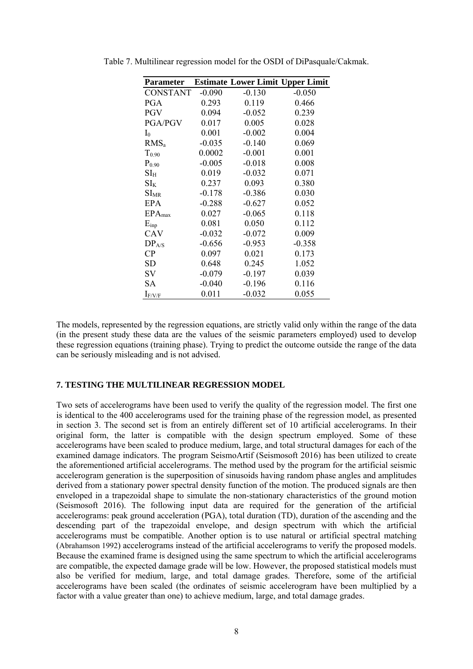| <b>Parameter</b>         |          | <b>Estimate Lower Limit Upper Limit</b> |          |
|--------------------------|----------|-----------------------------------------|----------|
| <b>CONSTANT</b>          | $-0.090$ | $-0.130$                                | $-0.050$ |
| PGA                      | 0.293    | 0.119                                   | 0.466    |
| <b>PGV</b>               | 0.094    | $-0.052$                                | 0.239    |
| <b>PGA/PGV</b>           | 0.017    | 0.005                                   | 0.028    |
| $I_0$                    | 0.001    | $-0.002$                                | 0.004    |
| $RMS_a$                  | $-0.035$ | $-0.140$                                | 0.069    |
| $T_{0.90}$               | 0.0002   | $-0.001$                                | 0.001    |
| $P_{0.90}$               | $-0.005$ | $-0.018$                                | 0.008    |
| $\mathrm{SI}_\mathrm{H}$ | 0.019    | $-0.032$                                | 0.071    |
| $SI_{K}$                 | 0.237    | 0.093                                   | 0.380    |
| $SI_{MR}$                | $-0.178$ | $-0.386$                                | 0.030    |
| EPA                      | $-0.288$ | $-0.627$                                | 0.052    |
| $EPA_{max}$              | 0.027    | $-0.065$                                | 0.118    |
| $E_{\text{inp}}$         | 0.081    | 0.050                                   | 0.112    |
| CAV                      | $-0.032$ | $-0.072$                                | 0.009    |
| DP <sub>A/S</sub>        | $-0.656$ | $-0.953$                                | $-0.358$ |
| CP                       | 0.097    | 0.021                                   | 0.173    |
| <b>SD</b>                | 0.648    | 0.245                                   | 1.052    |
| SV                       | $-0.079$ | $-0.197$                                | 0.039    |
| SА                       | $-0.040$ | $-0.196$                                | 0.116    |
| $I_{F/V/F}$              | 0.011    | $-0.032$                                | 0.055    |

Table 7. Multilinear regression model for the OSDI of DiPasquale/Cakmak.

The models, represented by the regression equations, are strictly valid only within the range of the data (in the present study these data are the values of the seismic parameters employed) used to develop these regression equations (training phase). Trying to predict the outcome outside the range of the data can be seriously misleading and is not advised.

# **7. TESTING THE MULTILINEAR REGRESSION MODEL**

Two sets of accelerograms have been used to verify the quality of the regression model. The first one is identical to the 400 accelerograms used for the training phase of the regression model, as presented in section 3. The second set is from an entirely different set of 10 artificial accelerograms. In their original form, the latter is compatible with the design spectrum employed. Some of these accelerograms have been scaled to produce medium, large, and total structural damages for each of the examined damage indicators. The program SeismoArtif (Seismosoft 2016) has been utilized to create the aforementioned artificial accelerograms. The method used by the program for the artificial seismic accelerogram generation is the superposition of sinusoids having random phase angles and amplitudes derived from a stationary power spectral density function of the motion. The produced signals are then enveloped in a trapezoidal shape to simulate the non-stationary characteristics of the ground motion (Seismosoft 2016). The following input data are required for the generation of the artificial accelerograms: peak ground acceleration (PGA), total duration (TD), duration of the ascending and the descending part of the trapezoidal envelope, and design spectrum with which the artificial accelerograms must be compatible. Another option is to use natural or artificial spectral matching (Abrahamson 1992) accelerograms instead of the artificial accelerograms to verify the proposed models. Because the examined frame is designed using the same spectrum to which the artificial accelerograms are compatible, the expected damage grade will be low. However, the proposed statistical models must also be verified for medium, large, and total damage grades. Therefore, some of the artificial accelerograms have been scaled (the ordinates of seismic accelerogram have been multiplied by a factor with a value greater than one) to achieve medium, large, and total damage grades.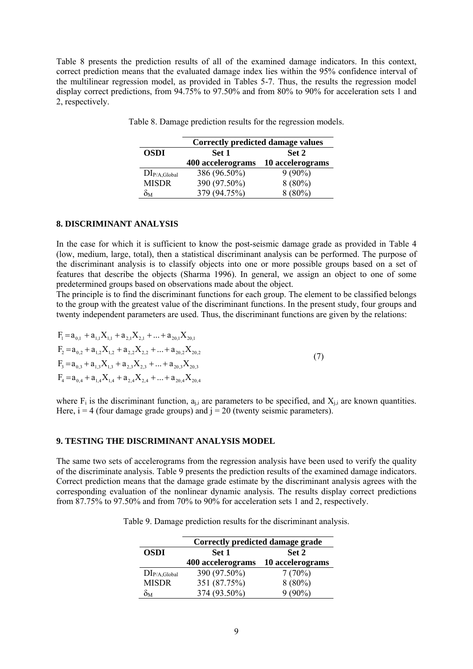Table 8 presents the prediction results of all of the examined damage indicators. In this context, correct prediction means that the evaluated damage index lies within the 95% confidence interval of the multilinear regression model, as provided in Tables 5-7. Thus, the results the regression model display correct predictions, from 94.75% to 97.50% and from 80% to 90% for acceleration sets 1 and 2, respectively.

|                   | <b>Correctly predicted damage values</b> |                  |  |
|-------------------|------------------------------------------|------------------|--|
| <b>OSDI</b>       | Set 1                                    | Set 2            |  |
|                   | 400 accelerograms                        | 10 accelerograms |  |
| $DI_{P/A,Global}$ | 386 (96.50%)                             | $9(90\%)$        |  |
| <b>MISDR</b>      | 390 (97.50%)                             | $8(80\%)$        |  |
| $\delta_{\rm M}$  | 379 (94.75%)                             | $8(80\%)$        |  |

Τable 8. Damage prediction results for the regression models.

# **8. DISCRIMINANT ANALYSIS**

In the case for which it is sufficient to know the post-seismic damage grade as provided in Table 4 (low, medium, large, total), then a statistical discriminant analysis can be performed. The purpose of the discriminant analysis is to classify objects into one or more possible groups based on a set of features that describe the objects (Sharma 1996). In general, we assign an object to one of some predetermined groups based on observations made about the object.

The principle is to find the discriminant functions for each group. The element to be classified belongs to the group with the greatest value of the discriminant functions. In the present study, four groups and twenty independent parameters are used. Thus, the discriminant functions are given by the relations:

$$
F_1 = a_{0,1} + a_{1,1}X_{1,1} + a_{2,1}X_{2,1} + ... + a_{20,1}X_{20,1}
$$
  
\n
$$
F_2 = a_{0,2} + a_{1,2}X_{1,2} + a_{2,2}X_{2,2} + ... + a_{20,2}X_{20,2}
$$
  
\n
$$
F_3 = a_{0,3} + a_{1,3}X_{1,3} + a_{2,3}X_{2,3} + ... + a_{20,3}X_{20,3}
$$
  
\n
$$
F_4 = a_{0,4} + a_{1,4}X_{1,4} + a_{2,4}X_{2,4} + ... + a_{20,4}X_{20,4}
$$
\n(7)

where  $F_i$  is the discriminant function,  $a_{ij}$  are parameters to be specified, and  $X_{ij}$  are known quantities. Here,  $i = 4$  (four damage grade groups) and  $j = 20$  (twenty seismic parameters).

# **9. TESTING THE DISCRIMINANT ANALYSIS MODEL**

The same two sets of accelerograms from the regression analysis have been used to verify the quality of the discriminate analysis. Table 9 presents the prediction results of the examined damage indicators. Correct prediction means that the damage grade estimate by the discriminant analysis agrees with the corresponding evaluation of the nonlinear dynamic analysis. The results display correct predictions from 87.75% to 97.50% and from 70% to 90% for acceleration sets 1 and 2, respectively.

Table 9. Damage prediction results for the discriminant analysis.

|                   | Correctly predicted damage grade |                  |  |  |
|-------------------|----------------------------------|------------------|--|--|
| <b>OSDI</b>       | Set 1<br>Set 2                   |                  |  |  |
|                   | 400 accelerograms                | 10 accelerograms |  |  |
| $DI_{P/A,Global}$ | 390 (97.50%)                     | 7(70%)           |  |  |
| <b>MISDR</b>      | 351 (87.75%)                     | $8(80\%)$        |  |  |
| $\delta_{\rm M}$  | 374 (93.50%)                     | $9(90\%)$        |  |  |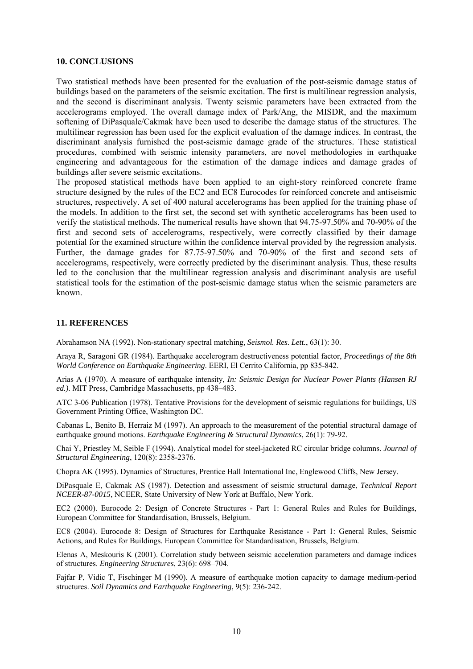### **10. CONCLUSIONS**

Two statistical methods have been presented for the evaluation of the post-seismic damage status of buildings based on the parameters of the seismic excitation. The first is multilinear regression analysis, and the second is discriminant analysis. Twenty seismic parameters have been extracted from the accelerograms employed. The overall damage index of Park/Ang, the MISDR, and the maximum softening of DiPasquale/Cakmak have been used to describe the damage status of the structures. The multilinear regression has been used for the explicit evaluation of the damage indices. In contrast, the discriminant analysis furnished the post-seismic damage grade of the structures. These statistical procedures, combined with seismic intensity parameters, are novel methodologies in earthquake engineering and advantageous for the estimation of the damage indices and damage grades of buildings after severe seismic excitations.

The proposed statistical methods have been applied to an eight-story reinforced concrete frame structure designed by the rules of the EC2 and EC8 Eurocodes for reinforced concrete and antiseismic structures, respectively. A set of 400 natural accelerograms has been applied for the training phase of the models. In addition to the first set, the second set with synthetic accelerograms has been used to verify the statistical methods. The numerical results have shown that 94.75-97.50% and 70-90% of the first and second sets of accelerograms, respectively, were correctly classified by their damage potential for the examined structure within the confidence interval provided by the regression analysis. Further, the damage grades for 87.75-97.50% and 70-90% of the first and second sets of accelerograms, respectively, were correctly predicted by the discriminant analysis. Thus, these results led to the conclusion that the multilinear regression analysis and discriminant analysis are useful statistical tools for the estimation of the post-seismic damage status when the seismic parameters are known.

#### **11. REFERENCES**

Abrahamson NA (1992). Non-stationary spectral matching, *Seismol. Res. Lett.*, 63(1): 30.

Araya R, Saragoni GR (1984). Earthquake accelerogram destructiveness potential factor, *Proceedings of the 8th World Conference on Earthquake Engineering*. EERI, El Cerrito California, pp 835-842.

Arias A (1970). A measure of earthquake intensity, *In: Seismic Design for Nuclear Power Plants (Hansen RJ ed.)*. MIT Press, Cambridge Massachusetts, pp 438–483.

ATC 3-06 Publication (1978). Tentative Provisions for the development of seismic regulations for buildings, US Government Printing Office, Washington DC.

Cabanas L, Benito B, Herraiz M (1997). An approach to the measurement of the potential structural damage of earthquake ground motions. *Earthquake Engineering & Structural Dynamics*, 26(1): 79-92.

Chai Y, Priestley M, Seible F (1994). Analytical model for steel-jacketed RC circular bridge columns. *Journal of Structural Engineering*, 120(8): 2358-2376.

Chopra AK (1995). Dynamics of Structures, Prentice Hall International Inc, Englewood Cliffs, New Jersey.

DiPasquale E, Cakmak AS (1987). Detection and assessment of seismic structural damage, *Technical Report NCEER-87-0015*, NCEER, State University of New York at Buffalo, New York.

EC2 (2000). Eurocode 2: Design of Concrete Structures - Part 1: General Rules and Rules for Buildings, European Committee for Standardisation, Brussels, Belgium.

EC8 (2004). Eurocode 8: Design of Structures for Earthquake Resistance - Part 1: General Rules, Seismic Actions, and Rules for Buildings. European Committee for Standardisation, Brussels, Belgium.

Elenas A, Meskouris K (2001). Correlation study between seismic acceleration parameters and damage indices of structures. *Engineering Structures*, 23(6): 698–704.

Fajfar P, Vidic T, Fischinger M (1990). A measure of earthquake motion capacity to damage medium-period structures. *Soil Dynamics and Earthquake Engineering*, 9(5): 236-242.